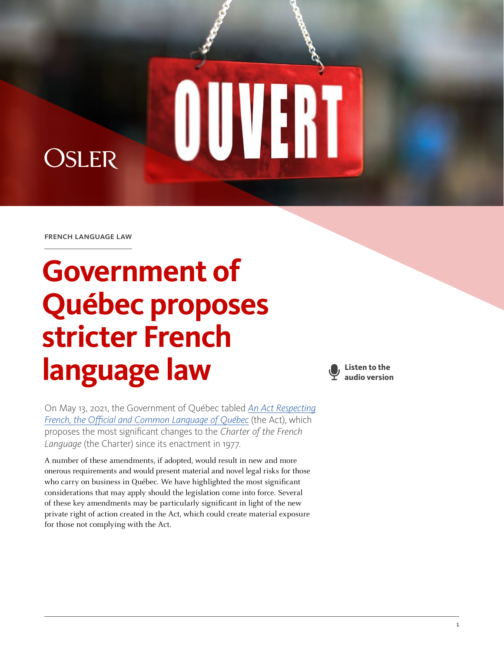french language law

**OSLER** 

# **Government of Québec proposes stricter French language law**

**Listen to the audio version**

WERT

On May 13, 2021, the Government of Québec tabled *[An Act Respecting](http://www.assnat.qc.ca/Media/Process.aspx?MediaId=ANQ.Vigie.Bll.DocumentGenerique_174281en&process=Original&token=ZyMoxNwUn8ikQ+TRKYwPCjWrKwg+vIv9rjij7p3xLGTZDmLVSmJLoqe/vG7/YWzz) [French, the Official and Common Language of Québec](http://www.assnat.qc.ca/Media/Process.aspx?MediaId=ANQ.Vigie.Bll.DocumentGenerique_174281en&process=Original&token=ZyMoxNwUn8ikQ+TRKYwPCjWrKwg+vIv9rjij7p3xLGTZDmLVSmJLoqe/vG7/YWzz)* (the Act), which proposes the most significant changes to the *Charter of the French Language* (the Charter) since its enactment in 1977.

A number of these amendments, if adopted, would result in new and more onerous requirements and would present material and novel legal risks for those who carry on business in Québec. We have highlighted the most significant considerations that may apply should the legislation come into force. Several of these key amendments may be particularly significant in light of the new private right of action created in the Act, which could create material exposure for those not complying with the Act.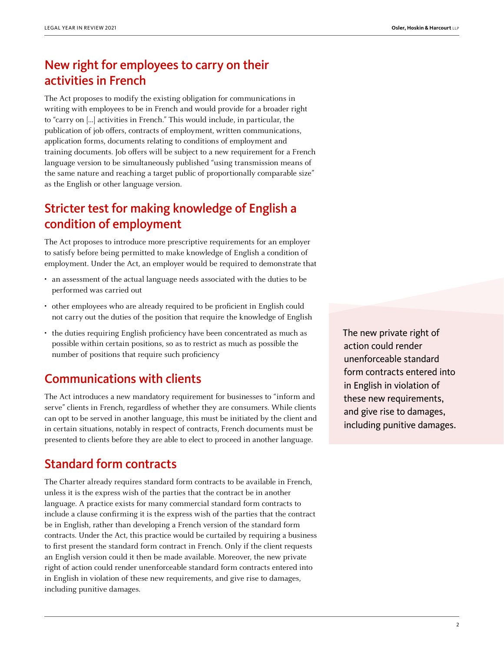# New right for employees to carry on their activities in French

The Act proposes to modify the existing obligation for communications in writing with employees to be in French and would provide for a broader right to "carry on […] activities in French." This would include, in particular, the publication of job offers, contracts of employment, written communications, application forms, documents relating to conditions of employment and training documents. Job offers will be subject to a new requirement for a French language version to be simultaneously published "using transmission means of the same nature and reaching a target public of proportionally comparable size" as the English or other language version.

# Stricter test for making knowledge of English a condition of employment

The Act proposes to introduce more prescriptive requirements for an employer to satisfy before being permitted to make knowledge of English a condition of employment. Under the Act, an employer would be required to demonstrate that

- an assessment of the actual language needs associated with the duties to be performed was carried out
- other employees who are already required to be proficient in English could not carry out the duties of the position that require the knowledge of English
- the duties requiring English proficiency have been concentrated as much as possible within certain positions, so as to restrict as much as possible the number of positions that require such proficiency

# Communications with clients

The Act introduces a new mandatory requirement for businesses to "inform and serve" clients in French, regardless of whether they are consumers. While clients can opt to be served in another language, this must be initiated by the client and in certain situations, notably in respect of contracts, French documents must be presented to clients before they are able to elect to proceed in another language.

### Standard form contracts

The Charter already requires standard form contracts to be available in French, unless it is the express wish of the parties that the contract be in another language. A practice exists for many commercial standard form contracts to include a clause confirming it is the express wish of the parties that the contract be in English, rather than developing a French version of the standard form contracts. Under the Act, this practice would be curtailed by requiring a business to first present the standard form contract in French. Only if the client requests an English version could it then be made available. Moreover, the new private right of action could render unenforceable standard form contracts entered into in English in violation of these new requirements, and give rise to damages, including punitive damages.

The new private right of action could render unenforceable standard form contracts entered into in English in violation of these new requirements, and give rise to damages, including punitive damages.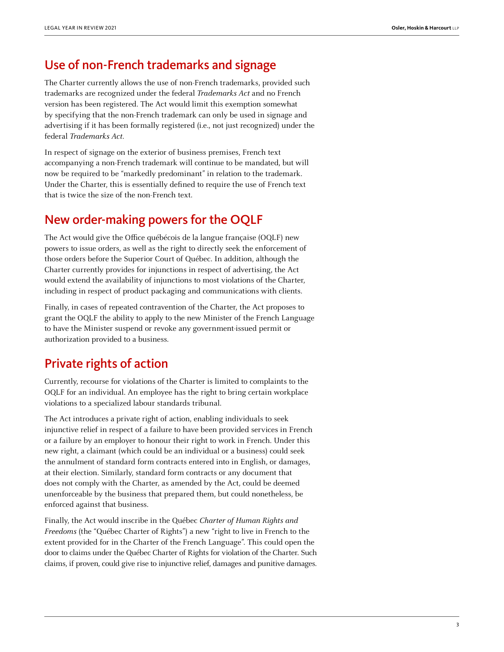### Use of non-French trademarks and signage

The Charter currently allows the use of non-French trademarks, provided such trademarks are recognized under the federal Trademarks Act and no French version has been registered. The Act would limit this exemption somewhat by specifying that the non-French trademark can only be used in signage and advertising if it has been formally registered (i.e., not just recognized) under the federal Trademarks Act.

In respect of signage on the exterior of business premises, French text accompanying a non-French trademark will continue to be mandated, but will now be required to be "markedly predominant" in relation to the trademark. Under the Charter, this is essentially defined to require the use of French text that is twice the size of the non-French text.

# New order-making powers for the OQLF

The Act would give the Office québécois de la langue française (OQLF) new powers to issue orders, as well as the right to directly seek the enforcement of those orders before the Superior Court of Québec. In addition, although the Charter currently provides for injunctions in respect of advertising, the Act would extend the availability of injunctions to most violations of the Charter, including in respect of product packaging and communications with clients.

Finally, in cases of repeated contravention of the Charter, the Act proposes to grant the OQLF the ability to apply to the new Minister of the French Language to have the Minister suspend or revoke any government-issued permit or authorization provided to a business.

### Private rights of action

Currently, recourse for violations of the Charter is limited to complaints to the OQLF for an individual. An employee has the right to bring certain workplace violations to a specialized labour standards tribunal.

The Act introduces a private right of action, enabling individuals to seek injunctive relief in respect of a failure to have been provided services in French or a failure by an employer to honour their right to work in French. Under this new right, a claimant (which could be an individual or a business) could seek the annulment of standard form contracts entered into in English, or damages, at their election. Similarly, standard form contracts or any document that does not comply with the Charter, as amended by the Act, could be deemed unenforceable by the business that prepared them, but could nonetheless, be enforced against that business.

Finally, the Act would inscribe in the Québec Charter of Human Rights and Freedoms (the "Québec Charter of Rights") a new "right to live in French to the extent provided for in the Charter of the French Language". This could open the door to claims under the Québec Charter of Rights for violation of the Charter. Such claims, if proven, could give rise to injunctive relief, damages and punitive damages.